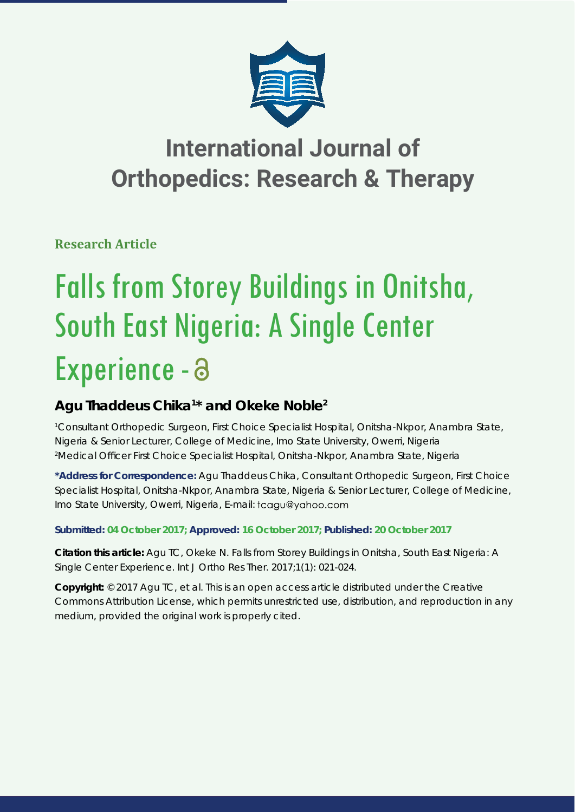

## **International Journal of Orthopedics: Research & Therapy**

**Research Article**

# Falls from Storey Buildings in Onitsha, South East Nigeria: A Single Center Experience - a

### **Agu Thaddeus Chika1 \* and Okeke Noble2**

*1 Consultant Orthopedic Surgeon, First Choice Specialist Hospital, Onitsha-Nkpor, Anambra State, Nigeria & Senior Lecturer, College of Medicine, Imo State University, Owerri, Nigeria 2 Medical Offi cer First Choice Specialist Hospital, Onitsha-Nkpor, Anambra State, Nigeria*

**\*Address for Correspondence:** Agu Thaddeus Chika, Consultant Orthopedic Surgeon, First Choice Specialist Hospital, Onitsha-Nkpor, Anambra State, Nigeria & Senior Lecturer, College of Medicine, Imo State University, Owerri, Nigeria, E-mail: tcagu@yahoo.com

**Submitted: 04 October 2017; Approved: 16 October 2017; Published: 20 October 2017**

**Citation this article:** Agu TC, Okeke N. Falls from Storey Buildings in Onitsha, South East Nigeria: A Single Center Experience. Int J Ortho Res Ther. 2017;1(1): 021-024.

**Copyright:** © 2017 Agu TC, et al. This is an open access article distributed under the Creative Commons Attribution License, which permits unrestricted use, distribution, and reproduction in any medium, provided the original work is properly cited.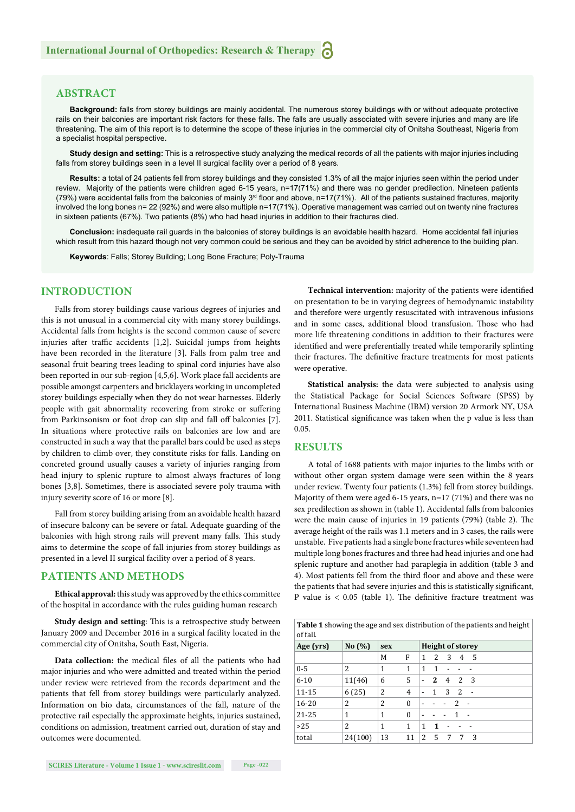#### **ABSTRACT**

**Background:** falls from storey buildings are mainly accidental. The numerous storey buildings with or without adequate protective rails on their balconies are important risk factors for these falls. The falls are usually associated with severe injuries and many are life threatening. The aim of this report is to determine the scope of these injuries in the commercial city of Onitsha Southeast, Nigeria from a specialist hospital perspective.

**Study design and setting:** This is a retrospective study analyzing the medical records of all the patients with major injuries including falls from storey buildings seen in a level II surgical facility over a period of 8 years.

**Results:** a total of 24 patients fell from storey buildings and they consisted 1.3% of all the major injuries seen within the period under review. Majority of the patients were children aged 6-15 years, n=17(71%) and there was no gender predilection. Nineteen patients (79%) were accidental falls from the balconies of mainly  $3<sup>rd</sup>$  floor and above, n=17(71%). All of the patients sustained fractures, majority involved the long bones n= 22 (92%) and were also multiple n=17(71%). Operative management was carried out on twenty nine fractures in sixteen patients (67%). Two patients (8%) who had head injuries in addition to their fractures died.

**Conclusion:** inadequate rail guards in the balconies of storey buildings is an avoidable health hazard. Home accidental fall injuries which result from this hazard though not very common could be serious and they can be avoided by strict adherence to the building plan.

**Keywords**: Falls; Storey Building; Long Bone Fracture; Poly-Trauma

#### **INTRODUCTION**

Falls from storey buildings cause various degrees of injuries and this is not unusual in a commercial city with many storey buildings. Accidental falls from heights is the second common cause of severe injuries after traffic accidents [1,2]. Suicidal jumps from heights have been recorded in the literature [3]. Falls from palm tree and seasonal fruit bearing trees leading to spinal cord injuries have also been reported in our sub-region [4,5,6]. Work place fall accidents are possible amongst carpenters and bricklayers working in uncompleted storey buildings especially when they do not wear harnesses. Elderly people with gait abnormality recovering from stroke or suffering from Parkinsonism or foot drop can slip and fall off balconies [7]. In situations where protective rails on balconies are low and are constructed in such a way that the parallel bars could be used as steps by children to climb over, they constitute risks for falls. Landing on concreted ground usually causes a variety of injuries ranging from head injury to splenic rupture to almost always fractures of long bones [3,8]. Sometimes, there is associated severe poly trauma with injury severity score of 16 or more [8].

Fall from storey building arising from an avoidable health hazard of insecure balcony can be severe or fatal. Adequate guarding of the balconies with high strong rails will prevent many falls. This study aims to determine the scope of fall injuries from storey buildings as presented in a level II surgical facility over a period of 8 years.

#### **PATIENTS AND METHODS**

**Ethical approval:** this study was approved by the ethics committee of the hospital in accordance with the rules guiding human research

**Study design and setting:** This is a retrospective study between January 2009 and December 2016 in a surgical facility located in the commercial city of Onitsha, South East, Nigeria.

Data collection: the medical files of all the patients who had major injuries and who were admitted and treated within the period under review were retrieved from the records department and the patients that fell from storey buildings were particularly analyzed. Information on bio data, circumstances of the fall, nature of the protective rail especially the approximate heights, injuries sustained, conditions on admission, treatment carried out, duration of stay and outcomes were documented.

Technical intervention: majority of the patients were identified on presentation to be in varying degrees of hemodynamic instability and therefore were urgently resuscitated with intravenous infusions and in some cases, additional blood transfusion. Those who had more life threatening conditions in addition to their fractures were identified and were preferentially treated while temporarily splinting their fractures. The definitive fracture treatments for most patients were operative.

**Statistical analysis:** the data were subjected to analysis using the Statistical Package for Social Sciences Software (SPSS) by International Business Machine (IBM) version 20 Armork NY, USA 2011. Statistical significance was taken when the p value is less than 0.05.

#### **RESULTS**

A total of 1688 patients with major injuries to the limbs with or without other organ system damage were seen within the 8 years under review. Twenty four patients (1.3%) fell from storey buildings. Majority of them were aged 6-15 years, n=17 (71%) and there was no sex predilection as shown in (table 1). Accidental falls from balconies were the main cause of injuries in 19 patients (79%) (table 2). The average height of the rails was 1.1 meters and in 3 cases, the rails were unstable. Five patients had a single bone fractures while seventeen had multiple long bones fractures and three had head injuries and one had splenic rupture and another had paraplegia in addition (table 3 and 4). Most patients fell from the third floor and above and these were the patients that had severe injuries and this is statistically significant, P value is  $\lt$  0.05 (table 1). The definitive fracture treatment was

**Table 1** showing the age and sex distribution of the patients and height of fall.

| vi iulii  |                |                |                         |                          |              |                |              |        |  |  |
|-----------|----------------|----------------|-------------------------|--------------------------|--------------|----------------|--------------|--------|--|--|
| Age (yrs) | No $(\%)$      | sex            | <b>Height of storey</b> |                          |              |                |              |        |  |  |
|           |                | M              | F                       | 1                        | 2            | - 3            | 4            | - 5    |  |  |
| $0 - 5$   | 2              | 1              | 1                       | 1                        | $\mathbf{1}$ |                |              |        |  |  |
| $6 - 10$  | 11(46)         | 6              | 5                       | $\overline{\phantom{a}}$ | 2            | $\overline{4}$ | <sup>2</sup> | - 3    |  |  |
| 11-15     | 6(25)          | 2              | 4                       | $\overline{a}$           | $\mathbf{1}$ | 3              | <sup>2</sup> | $\sim$ |  |  |
| $16 - 20$ | 2              | $\overline{2}$ | $\bf{0}$                | $\overline{\phantom{0}}$ |              | $\overline{2}$ |              |        |  |  |
| $21 - 25$ | 1              | 1              | 0                       | $\overline{\phantom{a}}$ |              |                | -1           |        |  |  |
| $>25$     | $\overline{c}$ | 1              | 1                       | 1                        | 1            |                |              |        |  |  |
| total     | 24(100)        | 13             | 11                      | 2                        | 5            | 7              | 7            | 3      |  |  |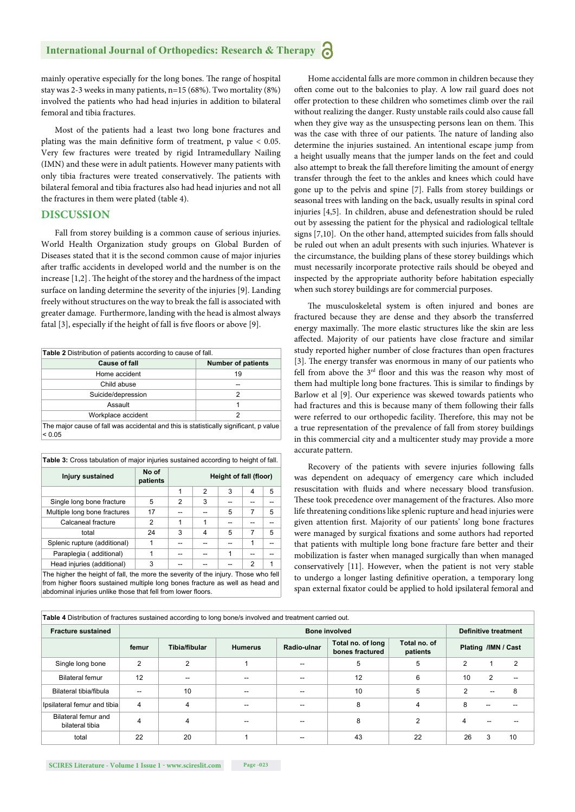mainly operative especially for the long bones. The range of hospital stay was 2-3 weeks in many patients, n=15 (68%). Two mortality (8%) involved the patients who had head injuries in addition to bilateral femoral and tibia fractures.

Most of the patients had a least two long bone fractures and plating was the main definitive form of treatment, p value  $< 0.05$ . Very few fractures were treated by rigid Intramedullary Nailing (IMN) and these were in adult patients. However many patients with only tibia fractures were treated conservatively. The patients with bilateral femoral and tibia fractures also had head injuries and not all the fractures in them were plated (table 4).

#### **DISCUSSION**

Fall from storey building is a common cause of serious injuries. World Health Organization study groups on Global Burden of Diseases stated that it is the second common cause of major injuries after traffic accidents in developed world and the number is on the increase  $[1,2]$ . The height of the storey and the hardness of the impact surface on landing determine the severity of the injuries [9]. Landing freely without structures on the way to break the fall is associated with greater damage. Furthermore, landing with the head is almost always fatal  $[3]$ , especially if the height of fall is five floors or above  $[9]$ .

| Table 2 Distribution of patients according to cause of fall.                                    |                           |  |  |  |  |  |
|-------------------------------------------------------------------------------------------------|---------------------------|--|--|--|--|--|
| Cause of fall                                                                                   | <b>Number of patients</b> |  |  |  |  |  |
| Home accident                                                                                   | 19                        |  |  |  |  |  |
| Child abuse                                                                                     |                           |  |  |  |  |  |
| Suicide/depression                                                                              | 2                         |  |  |  |  |  |
| Assault                                                                                         |                           |  |  |  |  |  |
| Workplace accident<br>2                                                                         |                           |  |  |  |  |  |
| The major cause of fall was accidental and this is statistically significant, p value<br>< 0.05 |                           |  |  |  |  |  |

| Table 3: Cross tabulation of major injuries sustained according to height of fall.                                                            |                   |                        |   |   |   |   |  |  |
|-----------------------------------------------------------------------------------------------------------------------------------------------|-------------------|------------------------|---|---|---|---|--|--|
| <b>Injury sustained</b>                                                                                                                       | No of<br>patients | Height of fall (floor) |   |   |   |   |  |  |
|                                                                                                                                               |                   | 1                      | 2 | 3 | 4 | 5 |  |  |
| Single long bone fracture                                                                                                                     | 5                 | 2                      | 3 |   |   |   |  |  |
| Multiple long bone fractures                                                                                                                  | 17                |                        |   | 5 | 7 | 5 |  |  |
| Calcaneal fracture                                                                                                                            | 2                 | 1                      | 1 |   |   |   |  |  |
| total                                                                                                                                         | 24                | 3                      | 4 | 5 | 7 | 5 |  |  |
| Splenic rupture (additional)                                                                                                                  | 1                 |                        |   |   | 1 |   |  |  |
| Paraplegia (additional)                                                                                                                       | 1                 |                        |   | 1 |   |   |  |  |
| Head injuries (additional)                                                                                                                    | 3                 |                        |   |   | 2 | 1 |  |  |
| The higher the height of fall, the more the severity of the injury. Those who fell                                                            |                   |                        |   |   |   |   |  |  |
| from higher floors sustained multiple long bones fracture as well as head and<br>abdominal injuries unlike those that fell from lower floors. |                   |                        |   |   |   |   |  |  |

Home accidental falls are more common in children because they often come out to the balconies to play. A low rail guard does not offer protection to these children who sometimes climb over the rail without realizing the danger. Rusty unstable rails could also cause fall when they give way as the unsuspecting persons lean on them. This was the case with three of our patients. The nature of landing also determine the injuries sustained. An intentional escape jump from a height usually means that the jumper lands on the feet and could also attempt to break the fall therefore limiting the amount of energy transfer through the feet to the ankles and knees which could have gone up to the pelvis and spine [7]. Falls from storey buildings or seasonal trees with landing on the back, usually results in spinal cord injuries [4,5]. In children, abuse and defenestration should be ruled out by assessing the patient for the physical and radiological telltale signs [7,10]. On the other hand, attempted suicides from falls should be ruled out when an adult presents with such injuries. Whatever is the circumstance, the building plans of these storey buildings which must necessarily incorporate protective rails should be obeyed and inspected by the appropriate authority before habitation especially when such storey buildings are for commercial purposes.

The musculoskeletal system is often injured and bones are fractured because they are dense and they absorb the transferred energy maximally. The more elastic structures like the skin are less affected. Majority of our patients have close fracture and similar study reported higher number of close fractures than open fractures [3]. The energy transfer was enormous in many of our patients who fell from above the  $3<sup>rd</sup>$  floor and this was the reason why most of them had multiple long bone fractures. This is similar to findings by Barlow et al [9]. Our experience was skewed towards patients who had fractures and this is because many of them following their falls were referred to our orthopedic facility. Therefore, this may not be a true representation of the prevalence of fall from storey buildings in this commercial city and a multicenter study may provide a more accurate pattern.

Recovery of the patients with severe injuries following falls was dependent on adequacy of emergency care which included resuscitation with fluids and where necessary blood transfusion. These took precedence over management of the fractures. Also more life threatening conditions like splenic rupture and head injuries were given attention first. Majority of our patients' long bone fractures were managed by surgical fixations and some authors had reported that patients with multiple long bone fracture fare better and their mobilization is faster when managed surgically than when managed conservatively [11]. However, when the patient is not very stable to undergo a longer lasting definitive operation, a temporary long span external fixator could be applied to hold ipsilateral femoral and

| <b>Table 4</b> Distribution of Hactures sustained according to long boners involved and treatment carried out. |                      |                |                |             |                                      |    |                     |                             |    |  |  |
|----------------------------------------------------------------------------------------------------------------|----------------------|----------------|----------------|-------------|--------------------------------------|----|---------------------|-----------------------------|----|--|--|
| <b>Fracture sustained</b>                                                                                      | <b>Bone involved</b> |                |                |             |                                      |    |                     | <b>Definitive treatment</b> |    |  |  |
|                                                                                                                | femur                | Tibia/fibular  | <b>Humerus</b> | Radio-ulnar | Total no. of long<br>bones fractured |    | Plating /IMN / Cast |                             |    |  |  |
| Single long bone                                                                                               | 2                    | $\overline{2}$ |                |             | 5                                    | 5  | 2                   |                             |    |  |  |
| Bilateral femur                                                                                                | 12                   | --             |                |             | 12                                   | 6  | 10                  | 2                           |    |  |  |
| Bilateral tibia/fibula                                                                                         | --                   | 10             |                |             | 10                                   | 5  | $\overline{2}$      | --                          | 8  |  |  |
| Ipsilateral femur and tibia                                                                                    | 4                    | $\overline{4}$ |                |             | 8                                    | 4  | 8                   |                             |    |  |  |
| Bilateral femur and<br>bilateral tibia                                                                         | 4                    | 4              |                |             | 8                                    | 2  |                     |                             |    |  |  |
| total                                                                                                          | 22                   | 20             |                |             | 43                                   | 22 | 26                  | 3                           | 10 |  |  |